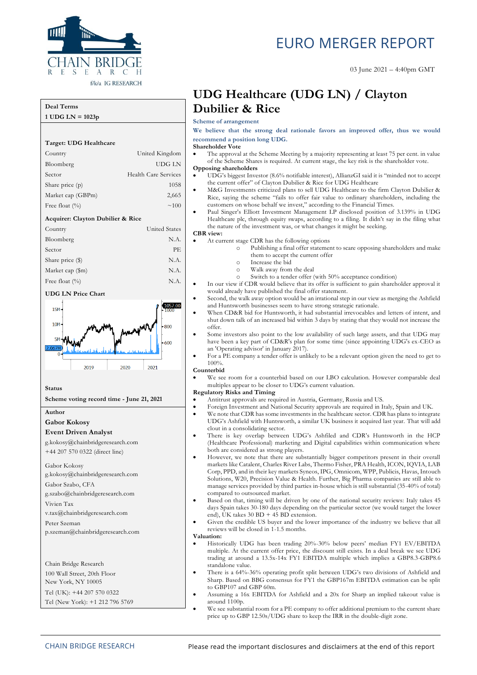

#### **Deal Terms**

**1 UDG LN =**  $1023$ 

| $1000 \text{ m}$ , $1000 \text{ p}$ |                             |
|-------------------------------------|-----------------------------|
|                                     |                             |
| Target: UDG Healthcare              |                             |
| Country                             | United Kingdom              |
| Bloomberg                           | <b>UDG LN</b>               |
| Sector                              | <b>Health Care Services</b> |
| Share price $(p)$                   | 1058                        |
| Market cap (GBPm)                   | 2,665                       |
| Free float $(\% )$                  | ~100                        |
| Acquirer: Clayton Dubilier & Rice   |                             |
| Country                             | <b>United States</b>        |
| Bloomberg                           | N.A.                        |
| Sector                              | PE                          |
| Share price (\$)                    | N.A.                        |
| Market cap (\$m)                    | N.A.                        |
| Free float $(\%)$                   | N.A.                        |

#### **UDG LN Price Chart**



#### **Status**

**Scheme voting record time - June 21, 2021**

#### **Author**

**Gabor Kokosy**

#### **Event Driven Analyst**

g.kokosy@chainbridgeresearch.com +44 207 570 0322 (direct line)

Gabor Kokosy g.kokosy@chainbridgeresearch.com Gabor Szabo, CFA g.szabo@chainbridgeresearch.com

Vivien Tax v.tax@chainbridgeresearch.com

Peter Szeman p.szeman@chainbridgeresearch.com

Chain Bridge Research 100 Wall Street, 20th Floor New York, NY 10005 Tel (UK): +44 207 570 0322 Tel (New York): +1 212 796 5769

# EURO MERGER REPORT

## **UDG Healthcare (UDG LN) / Clayton Dubilier & Rice**

**Scheme of arrangement**

**We believe that the strong deal rationale favors an improved offer, thus we would recommend a position long UDG.**

#### **Shareholder Vote**

The approval at the Scheme Meeting by a majority representing at least 75 per cent. in value of the Scheme Shares is required. At current stage, the key risk is the shareholder vote.

#### **Opposing shareholders**

- UDG's biggest Investor (8.6% notifiable interest), AllianzGI said it is "minded not to accept the current offer" of Clayton Dubilier & Rice for UDG Healthcare
- M&G Investments criticized plans to sell UDG Healthcare to the firm Clayton Dubilier & Rice, saying the scheme "fails to offer fair value to ordinary shareholders, including the customers on whose behalf we invest," according to the Financial Times.
- Paul Singer's Elliott Investment Management LP disclosed position of 3.139% in UDG Healthcare plc, through equity swaps, according to a filing. It didn't say in the filing what the nature of the investment was, or what changes it might be seeking.

#### **CBR view:**

- At current stage CDR has the following options
	- o Publishing a final offer statement to scare opposing shareholders and make them to accept the current offer
		- o Increase the bid
		- o Walk away from the deal
		- o Switch to a tender offer (with 50% acceptance condition)
- In our view if CDR would believe that its offer is sufficient to gain shareholder approval it would already have published the final offer statement.
- Second, the walk away option would be an irrational step in our view as merging the Ashfield and Huntsworth businesses seem to have strong strategic rationale.
- When CD&R bid for Huntsworth, it had substantial irrevocables and letters of intent, and shut down talk of an increased bid within 3 days by stating that they would not increase the offer.
- Some investors also point to the low availability of such large assets, and that UDG may have been a key part of CD&R's plan for some time (since appointing UDG's ex-CEO as an 'Operating advisor' in January 2017).
- For a PE company a tender offer is unlikely to be a relevant option given the need to get to 100%.

#### **Counterbid**

We see room for a counterbid based on our LBO calculation. However comparable deal multiples appear to be closer to UDG's current valuation.

#### **Regulatory Risks and Timing**

- Antitrust approvals are required in Austria, Germany, Russia and US.
- Foreign Investment and National Security approvals are required in Italy, Spain and UK.
- We note that CDR has some investments in the healthcare sector. CDR has plans to integrate UDG's Ashfield with Huntsworth, a similar UK business it acquired last year. That will add clout in a consolidating sector.
- There is key overlap between UDG's Ashfiled and CDR's Huntsworth in the HCP (Healthcare Professional) marketing and Digital capabilities within communication where both are considered as strong players.
- However, we note that there are substantially bigger competitors present in their overall markets like Catalent, Charles River Labs, Thermo Fisher, PRA Health, ICON, IQVIA, LAB Corp, PPD, and in their key markets Syneos, IPG, Omnicom, WPP, Publicis, Havas, Intouch Solutions, W20, Precision Value & Health. Further, Big Pharma companies are still able to manage services provided by third parties in-house which is still substantial (35-40% of total) compared to outsourced market.
- Based on that, timing will be driven by one of the national security reviews: Italy takes 45 days Spain takes 30-180 days depending on the particular sector (we would target the lower end), UK takes  $30 BD + 45 BD$  extension.
- Given the credible US buyer and the lower importance of the industry we believe that all reviews will be closed in 1-1.5 months.

#### **Valuation:**

- Historically UDG has been trading 20%-30% below peers' median FY1 EV/EBITDA multiple. At the current offer price, the discount still exists. In a deal break we see UDG trading at around a  $13.5x-14x$  FY1 EBITDA multiple which implies a GBP8.3-GBP8.6 standalone value.
- There is a 64%-36% operating profit split between UDG's two divisions of Ashfield and Sharp. Based on BBG consensus for FY1 the GBP167m EBITDA estimation can be split to GBP107 and GBP 60m.
- Assuming a 16x EBITDA for Ashfield and a 20x for Sharp an implied takeout value is around 1100p.
- We see substantial room for a PE company to offer additional premium to the current share price up to GBP 12.50s/UDG share to keep the IRR in the double-digit zone.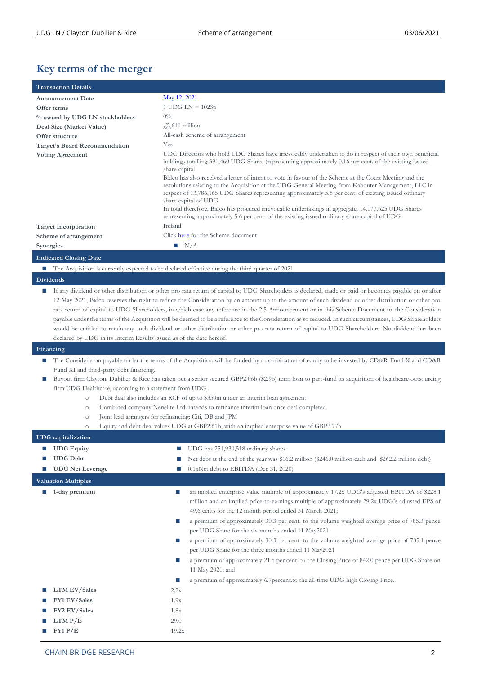## **Key terms of the merger**

| <b>Transaction Details</b>                                                                                                                                |                                                                                                                                                                                                                                                                                                                                                                                                                                                                                                                                                                                                                                                                                                                                                                                                            |
|-----------------------------------------------------------------------------------------------------------------------------------------------------------|------------------------------------------------------------------------------------------------------------------------------------------------------------------------------------------------------------------------------------------------------------------------------------------------------------------------------------------------------------------------------------------------------------------------------------------------------------------------------------------------------------------------------------------------------------------------------------------------------------------------------------------------------------------------------------------------------------------------------------------------------------------------------------------------------------|
| <b>Announcement Date</b>                                                                                                                                  | May 12, 2021                                                                                                                                                                                                                                                                                                                                                                                                                                                                                                                                                                                                                                                                                                                                                                                               |
| Offer terms                                                                                                                                               | 1 UDG LN = $1023p$                                                                                                                                                                                                                                                                                                                                                                                                                                                                                                                                                                                                                                                                                                                                                                                         |
| % owned by UDG LN stockholders                                                                                                                            | $0\%$                                                                                                                                                                                                                                                                                                                                                                                                                                                                                                                                                                                                                                                                                                                                                                                                      |
| Deal Size (Market Value)                                                                                                                                  | $\sqrt{2,611}$ million                                                                                                                                                                                                                                                                                                                                                                                                                                                                                                                                                                                                                                                                                                                                                                                     |
| Offer structure                                                                                                                                           | All-cash scheme of arrangement                                                                                                                                                                                                                                                                                                                                                                                                                                                                                                                                                                                                                                                                                                                                                                             |
| Target's Board Recommendation                                                                                                                             | Yes                                                                                                                                                                                                                                                                                                                                                                                                                                                                                                                                                                                                                                                                                                                                                                                                        |
| <b>Voting Agreement</b>                                                                                                                                   | UDG Directors who hold UDG Shares have irrevocably undertaken to do in respect of their own beneficial<br>holdings totalling 391,460 UDG Shares (representing approximately 0.16 per cent. of the existing issued<br>share capital                                                                                                                                                                                                                                                                                                                                                                                                                                                                                                                                                                         |
|                                                                                                                                                           | Bidco has also received a letter of intent to vote in favour of the Scheme at the Court Meeting and the<br>resolutions relating to the Acquisition at the UDG General Meeting from Kabouter Management, LLC in<br>respect of 13,786,165 UDG Shares representing approximately 5.5 per cent. of existing issued ordinary<br>share capital of UDG                                                                                                                                                                                                                                                                                                                                                                                                                                                            |
|                                                                                                                                                           | In total therefore, Bidco has procured irrevocable undertakings in aggregate, 14,177,625 UDG Shares<br>representing approximately 5.6 per cent. of the existing issued ordinary share capital of UDG                                                                                                                                                                                                                                                                                                                                                                                                                                                                                                                                                                                                       |
| <b>Target Incorporation</b>                                                                                                                               | Ireland                                                                                                                                                                                                                                                                                                                                                                                                                                                                                                                                                                                                                                                                                                                                                                                                    |
| Scheme of arrangement                                                                                                                                     | Click here for the Scheme document                                                                                                                                                                                                                                                                                                                                                                                                                                                                                                                                                                                                                                                                                                                                                                         |
| <b>Synergies</b>                                                                                                                                          | $\blacksquare$ N/A                                                                                                                                                                                                                                                                                                                                                                                                                                                                                                                                                                                                                                                                                                                                                                                         |
| <b>Indicated Closing Date</b>                                                                                                                             |                                                                                                                                                                                                                                                                                                                                                                                                                                                                                                                                                                                                                                                                                                                                                                                                            |
| ш                                                                                                                                                         | The Acquisition is currently expected to be declared effective during the third quarter of 2021                                                                                                                                                                                                                                                                                                                                                                                                                                                                                                                                                                                                                                                                                                            |
| <b>Dividends</b>                                                                                                                                          |                                                                                                                                                                                                                                                                                                                                                                                                                                                                                                                                                                                                                                                                                                                                                                                                            |
| $\Box$<br>declared by UDG in its Interim Results issued as of the date hereof.                                                                            | If any dividend or other distribution or other pro rata return of capital to UDG Shareholders is declared, made or paid or becomes payable on or after<br>12 May 2021, Bidco reserves the right to reduce the Consideration by an amount up to the amount of such dividend or other distribution or other pro<br>rata return of capital to UDG Shareholders, in which case any reference in the 2.5 Announcement or in this Scheme Document to the Consideration<br>payable under the terms of the Acquisition will be deemed to be a reference to the Consideration as so reduced. In such circumstances, UDG Shareholders<br>would be entitled to retain any such dividend or other distribution or other pro rata return of capital to UDG Shareholders. No dividend has been                           |
| Financing                                                                                                                                                 |                                                                                                                                                                                                                                                                                                                                                                                                                                                                                                                                                                                                                                                                                                                                                                                                            |
| ш<br>Fund XI and third-party debt financing.<br>D.<br>firm UDG Healthcare, according to a statement from UDG.<br>$\circ$<br>$\circ$<br>$\circ$<br>$\circ$ | The Consideration payable under the terms of the Acquisition will be funded by a combination of equity to be invested by CD&R Fund X and CD&R<br>Buyout firm Clayton, Dubilier & Rice has taken out a senior secured GBP2.06b (\$2.9b) term loan to part-fund its acquisition of healthcare outsourcing<br>Debt deal also includes an RCF of up to \$350m under an interim loan agreement<br>Combined company Nenelite Ltd. intends to refinance interim loan once deal completed<br>Joint lead arrangers for refinancing: Citi, DB and JPM<br>Equity and debt deal values UDG at GBP2.61b, with an implied enterprise value of GBP2.77b                                                                                                                                                                   |
| <b>UDG</b> capitalization                                                                                                                                 |                                                                                                                                                                                                                                                                                                                                                                                                                                                                                                                                                                                                                                                                                                                                                                                                            |
| <b>UDG</b> Equity                                                                                                                                         | UDG has 251,930,518 ordinary shares<br>ш                                                                                                                                                                                                                                                                                                                                                                                                                                                                                                                                                                                                                                                                                                                                                                   |
| <b>UDG</b> Debt                                                                                                                                           | Net debt at the end of the year was \$16.2 million (\$246.0 million cash and \$262.2 million debt)<br>×.                                                                                                                                                                                                                                                                                                                                                                                                                                                                                                                                                                                                                                                                                                   |
| <b>UDG</b> Net Leverage<br>ш                                                                                                                              | 0.1xNet debt to EBITDA (Dec 31, 2020)<br>E.                                                                                                                                                                                                                                                                                                                                                                                                                                                                                                                                                                                                                                                                                                                                                                |
| <b>Valuation Multiples</b>                                                                                                                                |                                                                                                                                                                                                                                                                                                                                                                                                                                                                                                                                                                                                                                                                                                                                                                                                            |
| 1-day premium<br>$\mathbb{Z}$                                                                                                                             | an implied enterprise value multiple of approximately 17.2x UDG's adjusted EBITDA of \$228.1<br>E.<br>million and an implied price-to-earnings multiple of approximately 29.2x UDG's adjusted EPS of<br>49.6 cents for the 12 month period ended 31 March 2021;<br>a premium of approximately 30.3 per cent. to the volume weighted average price of 785.3 pence<br>E.<br>per UDG Share for the six months ended 11 May2021<br>a premium of approximately 30.3 per cent. to the volume weighted average price of 785.1 pence<br>ш<br>per UDG Share for the three months ended 11 May2021<br>a premium of approximately 21.5 per cent. to the Closing Price of 842.0 pence per UDG Share on<br>ш<br>11 May 2021; and<br>a premium of approximately 6.7 percent to the all-time UDG high Closing Price.<br>п |
| LTM EV/Sales                                                                                                                                              | 2.2x                                                                                                                                                                                                                                                                                                                                                                                                                                                                                                                                                                                                                                                                                                                                                                                                       |
| <b>FY1 EV/Sales</b>                                                                                                                                       | 1.9x                                                                                                                                                                                                                                                                                                                                                                                                                                                                                                                                                                                                                                                                                                                                                                                                       |
| FY2 EV/Sales                                                                                                                                              | 1.8x                                                                                                                                                                                                                                                                                                                                                                                                                                                                                                                                                                                                                                                                                                                                                                                                       |
| LTM P/E                                                                                                                                                   | 29.0                                                                                                                                                                                                                                                                                                                                                                                                                                                                                                                                                                                                                                                                                                                                                                                                       |
| FY1 P/E                                                                                                                                                   | 19.2x                                                                                                                                                                                                                                                                                                                                                                                                                                                                                                                                                                                                                                                                                                                                                                                                      |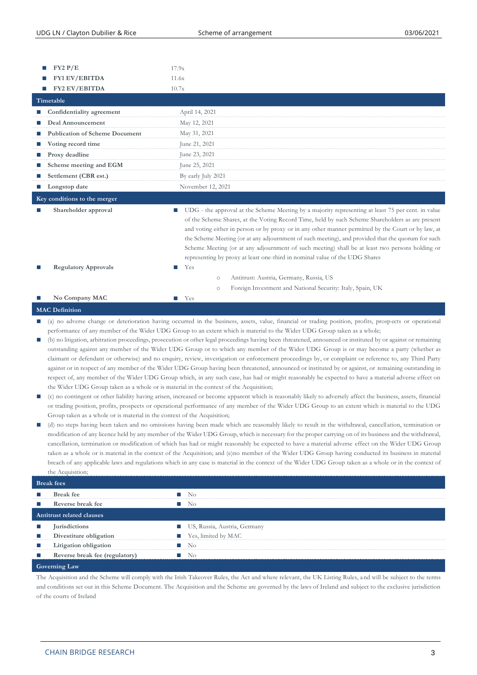| FY2 P/E                               | 17.9x                                                                                                                                                                                                                                                                                                                                                                                                                                                                                                                                                                                                |
|---------------------------------------|------------------------------------------------------------------------------------------------------------------------------------------------------------------------------------------------------------------------------------------------------------------------------------------------------------------------------------------------------------------------------------------------------------------------------------------------------------------------------------------------------------------------------------------------------------------------------------------------------|
| <b>FY1 EV/EBITDA</b>                  | 11.6x                                                                                                                                                                                                                                                                                                                                                                                                                                                                                                                                                                                                |
| <b>FY2 EV/EBITDA</b>                  | 10.7x                                                                                                                                                                                                                                                                                                                                                                                                                                                                                                                                                                                                |
| Timetable                             |                                                                                                                                                                                                                                                                                                                                                                                                                                                                                                                                                                                                      |
| Confidentiality agreement             | April 14, 2021                                                                                                                                                                                                                                                                                                                                                                                                                                                                                                                                                                                       |
| Deal Announcement                     | May 12, 2021                                                                                                                                                                                                                                                                                                                                                                                                                                                                                                                                                                                         |
| <b>Publication of Scheme Document</b> | May 31, 2021                                                                                                                                                                                                                                                                                                                                                                                                                                                                                                                                                                                         |
| Voting record time                    | June 21, 2021                                                                                                                                                                                                                                                                                                                                                                                                                                                                                                                                                                                        |
| Proxy deadline                        | June 23, 2021                                                                                                                                                                                                                                                                                                                                                                                                                                                                                                                                                                                        |
| Scheme meeting and EGM                | June 25, 2021                                                                                                                                                                                                                                                                                                                                                                                                                                                                                                                                                                                        |
| Settlement (CBR est.)                 | By early July 2021                                                                                                                                                                                                                                                                                                                                                                                                                                                                                                                                                                                   |
| Longstop date                         | November 12, 2021                                                                                                                                                                                                                                                                                                                                                                                                                                                                                                                                                                                    |
| Key conditions to the merger          |                                                                                                                                                                                                                                                                                                                                                                                                                                                                                                                                                                                                      |
| Shareholder approval                  | UDG - the approval at the Scheme Meeting by a majority representing at least 75 per cent. in value<br>of the Scheme Shares, at the Voting Record Time, held by such Scheme Shareholders as are present<br>and voting either in person or by proxy or in any other manner permitted by the Court or by law, at<br>the Scheme Meeting (or at any adjournment of such meeting), and provided that the quorum for such<br>Scheme Meeting (or at any adjournment of such meeting) shall be at least two persons holding or<br>representing by proxy at least one-third in nominal value of the UDG Shares |
| <b>Regulatory Approvals</b>           | Yes                                                                                                                                                                                                                                                                                                                                                                                                                                                                                                                                                                                                  |
|                                       | Antitrust: Austria, Germany, Russia, US<br>$\circ$                                                                                                                                                                                                                                                                                                                                                                                                                                                                                                                                                   |
|                                       | Foreign Investment and National Security: Italy, Spain, UK<br>$\circ$                                                                                                                                                                                                                                                                                                                                                                                                                                                                                                                                |
| No Company MAC                        | Yes                                                                                                                                                                                                                                                                                                                                                                                                                                                                                                                                                                                                  |

#### **MAC Definition**

(a) no adverse change or deterioration having occurred in the business, assets, value, financial or trading position, profits, prospects or operational performance of any member of the Wider UDG Group to an extent which is material to the Wider UDG Group taken as a whole;

**■** (b) no litigation, arbitration proceedings, prosecution or other legal proceedings having been threatened, announced or instituted by or against or remaining outstanding against any member of the Wider UDG Group or to which any member of the Wider UDG Group is or may become a party (whether as claimant or defendant or otherwise) and no enquiry, review, investigation or enforcement proceedings by, or complaint or reference to, any Third Party against or in respect of any member of the Wider UDG Group having been threatened, announced or instituted by or against, or remaining outstanding in respect of, any member of the Wider UDG Group which, in any such case, has had or might reasonably be expected to have a material adverse effect on the Wider UDG Group taken as a whole or is material in the context of the Acquisition;

**■** (c) no contingent or other liability having arisen, increased or become apparent which is reasonably likely to adversely affect the business, assets, financial or trading position, profits, prospects or operational performance of any member of the Wider UDG Group to an extent which is material to the UDG Group taken as a whole or is material in the context of the Acquisition;

**■** (d) no steps having been taken and no omissions having been made which are reasonably likely to result in the withdrawal, cancell ation, termination or modification of any licence held by any member of the Wider UDG Group, which is necessary for the proper carrying on of its business and the withdrawal, cancellation, termination or modification of which has had or might reasonably be expected to have a material adverse effect on the Wider UDG Group taken as a whole or is material in the context of the Acquisition; and (e)no member of the Wider UDG Group having conducted its business in material breach of any applicable laws and regulations which in any case is material in the context of the Wider UDG Group taken as a whole or in the context of the Acquisition;

| <b>Break fees</b>              |                                                                                                                                                                                                                                      |                                     |
|--------------------------------|--------------------------------------------------------------------------------------------------------------------------------------------------------------------------------------------------------------------------------------|-------------------------------------|
| <b>Break</b> fee               |                                                                                                                                                                                                                                      | $\blacksquare$ No                   |
| Reverse break fee              | <b>The Company</b>                                                                                                                                                                                                                   | No                                  |
| Antitrust related clauses      |                                                                                                                                                                                                                                      |                                     |
| <b>Jurisdictions</b>           |                                                                                                                                                                                                                                      | <b>US, Russia, Austria, Germany</b> |
| Divestiture obligation         | <b>I</b>                                                                                                                                                                                                                             | Yes, limited by MAC                 |
| Litigation obligation          | <b>The Contract of the Contract of the Contract of the Contract of the Contract of the Contract of the Contract of the Contract of the Contract of the Contract of the Contract of the Contract of the Contract of the Contract </b> | No                                  |
| Reverse break fee (regulatory) |                                                                                                                                                                                                                                      | $\blacksquare$ No                   |
| <b>Governing Law</b>           |                                                                                                                                                                                                                                      |                                     |

The Acquisition and the Scheme will comply with the Irish Takeover Rules, the Act and where relevant, the UK Listing Rules, and will be subject to the terms and conditions set out in this Scheme Document. The Acquisition and the Scheme are governed by the laws of Ireland and subject to the exclusive jurisdiction of the courts of Ireland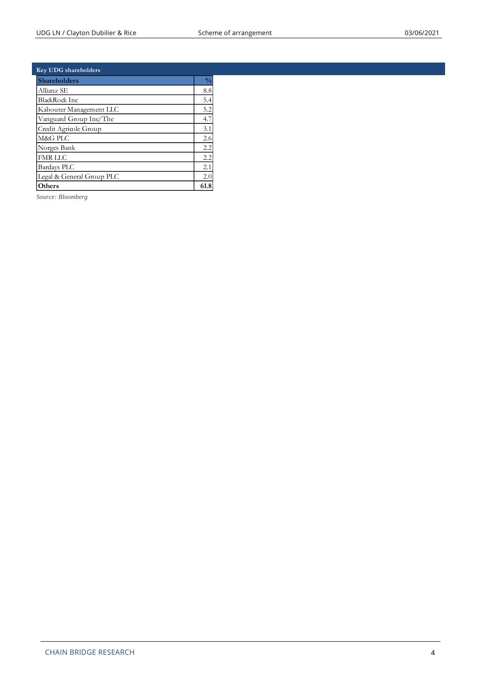| <b>Key UDG</b> shareholders |               |
|-----------------------------|---------------|
| <b>Shareholders</b>         | $\frac{0}{0}$ |
| Allianz SE                  | 8.8           |
| BlackRock Inc               | 5.4           |
| Kabouter Management LLC     | 5.2           |
| Vanguard Group Inc/The      | 4.7           |
| Credit Agricole Group       | 3.1           |
| M&G PLC                     | 2.6           |
| Norges Bank                 | 2.2           |
| <b>FMR LLC</b>              | 2.2           |
| Bardays PLC                 | 2.1           |
| Legal & General Group PLC   | 2.0           |
| Others                      | 61.8          |

*Source: Bloomberg*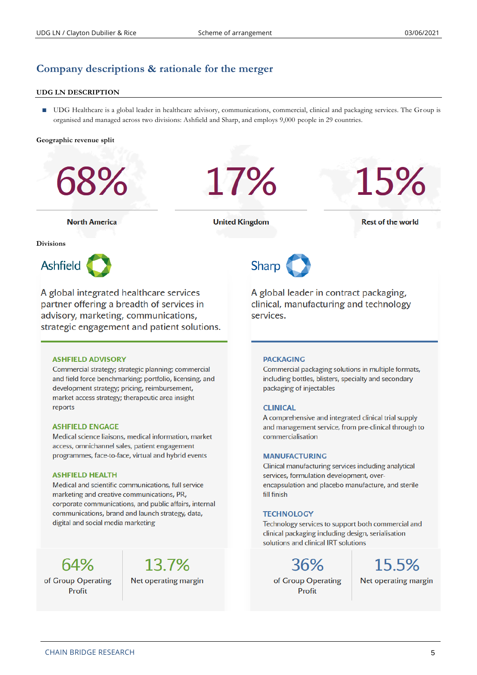## **Company descriptions & rationale for the merger**

#### **UDG LN DESCRIPTION**

■ UDG Healthcare is a global leader in healthcare advisory, communications, commercial, clinical and packaging services. The Group is organised and managed across two divisions: Ashfield and Sharp, and employs 9,000 people in 29 countries.

#### **Geographic revenue split**

68%

17%

15%

**North America** 

**United Kingdom** 

**Rest of the world** 

#### **Divisions**



A global integrated healthcare services partner offering a breadth of services in advisory, marketing, communications, strategic engagement and patient solutions.

#### **ASHFIELD ADVISORY**

Commercial strategy; strategic planning; commercial and field force benchmarking; portfolio, licensing, and development strategy; pricing, reimbursement, market access strategy; therapeutic area insight reports

#### **ASHFIELD ENGAGE**

Medical science liaisons, medical information, market access, omnichannel sales, patient engagement programmes, face-to-face, virtual and hybrid events

#### **ASHFIELD HEALTH**

Medical and scientific communications, full service marketing and creative communications, PR, corporate communications, and public affairs, internal communications, brand and launch strategy, data, digital and social media marketing

64% of Group Operating Profit

13.7% Net operating margin



A global leader in contract packaging, clinical, manufacturing and technology services.

#### **PACKAGING**

Commercial packaging solutions in multiple formats, including bottles, blisters, specialty and secondary packaging of injectables

#### **CLINICAL**

A comprehensive and integrated clinical trial supply and management service, from pre-clinical through to commercialisation

#### **MANUFACTURING**

Clinical manufacturing services including analytical services, formulation development, overencapsulation and placebo manufacture, and sterile fill finish

#### **TECHNOLOGY**

Technology services to support both commercial and clinical packaging including design, serialisation solutions and clinical IRT solutions

36% of Group Operating

Profit

15.5% Net operating margin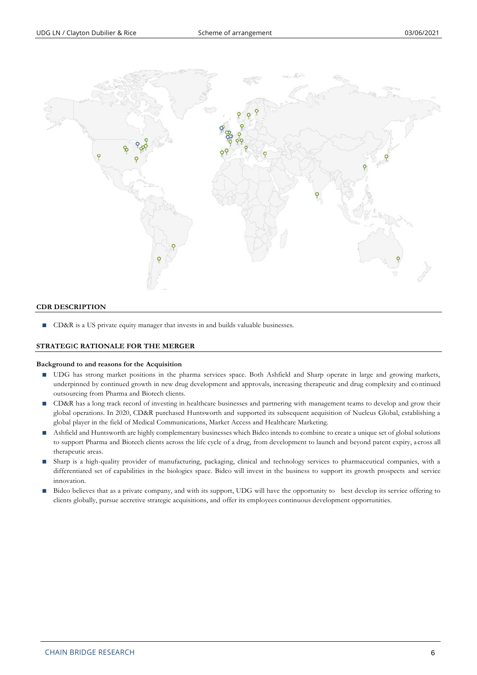

#### **CDR DESCRIPTION**

■ CD&R is a US private equity manager that invests in and builds valuable businesses.

#### **STRATEG**I**C RATIONALE FOR THE MERGER**

#### **Background to and reasons for the Acquisition**

- **■** UDG has strong market positions in the pharma services space. Both Ashfield and Sharp operate in large and growing markets, underpinned by continued growth in new drug development and approvals, increasing therapeutic and drug complexity and continued outsourcing from Pharma and Biotech clients.
- CD&R has a long track record of investing in healthcare businesses and partnering with management teams to develop and grow their global operations. In 2020, CD&R purchased Huntsworth and supported its subsequent acquisition of Nucleus Global, establishing a global player in the field of Medical Communications, Market Access and Healthcare Marketing.
- **■** Ashfield and Huntsworth are highly complementary businesses which Bidco intends to combine to create a unique set of global solutions to support Pharma and Biotech clients across the life cycle of a drug, from development to launch and beyond patent expiry, a cross all therapeutic areas.
- Sharp is a high-quality provider of manufacturing, packaging, clinical and technology services to pharmaceutical companies, with a differentiated set of capabilities in the biologics space. Bidco will invest in the business to support its growth prospects and service innovation.
- Bidco believes that as a private company, and with its support, UDG will have the opportunity to best develop its service offering to clients globally, pursue accretive strategic acquisitions, and offer its employees continuous development opportunities.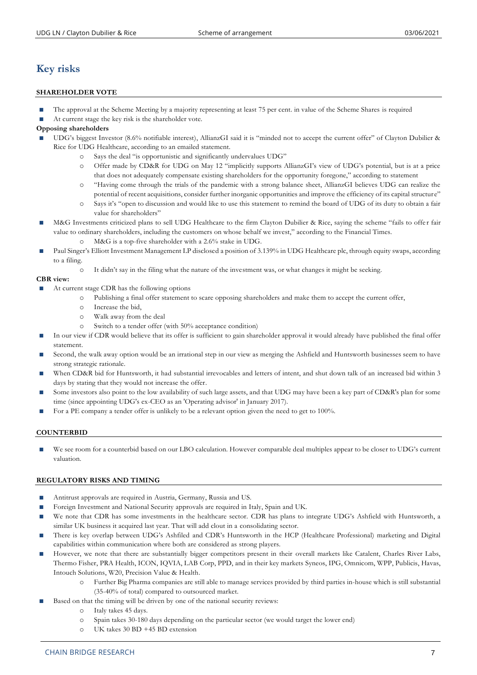## **Key risks**

#### **SHAREHOLDER VOTE**

- The approval at the Scheme Meeting by a majority representing at least 75 per cent. in value of the Scheme Shares is required
- At current stage the key risk is the shareholder vote.

#### **Opposing shareholders**

- UDG's biggest Investor (8.6% notifiable interest), AllianzGI said it is "minded not to accept the current offer" of Clayton Dubilier & Rice for UDG Healthcare, according to an emailed statement.
	- o Says the deal "is opportunistic and significantly undervalues UDG"
	- o Offer made by CD&R for UDG on May 12 "implicitly supports AllianzGI's view of UDG's potential, but is at a price that does not adequately compensate existing shareholders for the opportunity foregone," according to statement
	- o "Having come through the trials of the pandemic with a strong balance sheet, AllianzGI believes UDG can realize the potential of recent acquisitions, consider further inorganic opportunities and improve the efficiency of its capital structur e"
	- o Says it's "open to discussion and would like to use this statement to remind the board of UDG of its duty to obtain a fair value for shareholders"
- M&G Investments criticized plans to sell UDG Healthcare to the firm Clayton Dubilier & Rice, saying the scheme "fails to offer fair value to ordinary shareholders, including the customers on whose behalf we invest," according to the Financial Times. o M&G is a top-five shareholder with a 2.6% stake in UDG.
- Paul Singer's Elliott Investment Management LP disclosed a position of 3.139% in UDG Healthcare plc, through equity swaps, according to a filing.
	- It didn't say in the filing what the nature of the investment was, or what changes it might be seeking.

#### **CBR view:**

- At current stage CDR has the following options
	- o Publishing a final offer statement to scare opposing shareholders and make them to accept the current offer,
	- o Increase the bid,
	- o Walk away from the deal
	- o Switch to a tender offer (with 50% acceptance condition)
- In our view if CDR would believe that its offer is sufficient to gain shareholder approval it would already have published the final offer statement.
- Second, the walk away option would be an irrational step in our view as merging the Ashfield and Huntsworth businesses seem to have strong strategic rationale.
- When CD&R bid for Huntsworth, it had substantial irrevocables and letters of intent, and shut down talk of an increased bid within 3 days by stating that they would not increase the offer.
- Some investors also point to the low availability of such large assets, and that UDG may have been a key part of CD&R's plan for some time (since appointing UDG's ex-CEO as an 'Operating advisor' in January 2017).
- For a PE company a tender offer is unlikely to be a relevant option given the need to get to 100%.

#### **COUNTERBID**

We see room for a counterbid based on our LBO calculation. However comparable deal multiples appear to be closer to UDG's current valuation.

#### **REGULATORY RISKS AND TIMING**

- **■** Antitrust approvals are required in Austria, Germany, Russia and US.
- Foreign Investment and National Security approvals are required in Italy, Spain and UK.
- We note that CDR has some investments in the healthcare sector. CDR has plans to integrate UDG's Ashfield with Huntsworth, a similar UK business it acquired last year. That will add clout in a consolidating sector.
- There is key overlap between UDG's Ashfiled and CDR's Huntsworth in the HCP (Healthcare Professional) marketing and Digital capabilities within communication where both are considered as strong players.
- However, we note that there are substantially bigger competitors present in their overall markets like Catalent, Charles River Labs, Thermo Fisher, PRA Health, ICON, IQVIA, LAB Corp, PPD, and in their key markets Syneos, IPG, Omnicom, WPP, Publicis, Havas, Intouch Solutions, W20, Precision Value & Health.
	- Further Big Pharma companies are still able to manage services provided by third parties in-house which is still substantial (35-40% of total) compared to outsourced market.
- Based on that the timing will be driven by one of the national security reviews:
	- o Italy takes 45 days.
	- o Spain takes 30-180 days depending on the particular sector (we would target the lower end)
	- o UK takes 30 BD +45 BD extension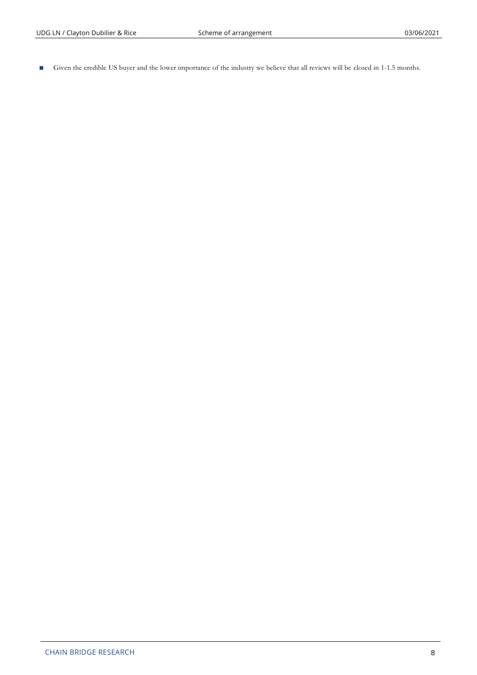■ Given the credible US buyer and the lower importance of the industry we believe that all reviews will be closed in 1-1.5 months.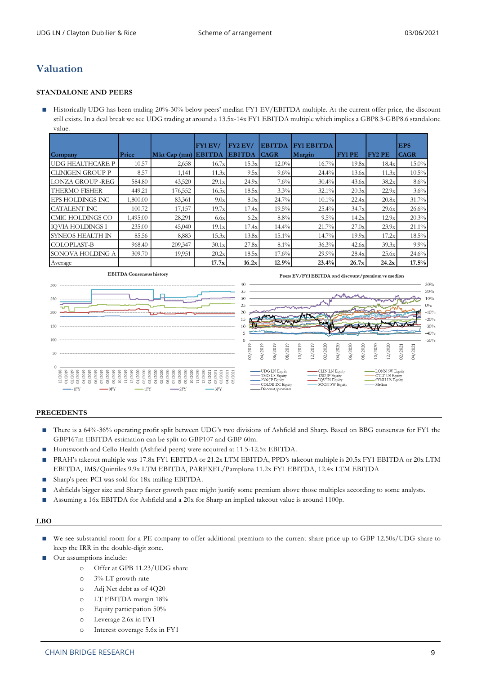### **Valuation**

#### **STANDALONE AND PEERS**

■ Historically UDG has been trading 20%-30% below peers' median FY1 EV/EBITDA multiple. At the current offer price, the discount still exists. In a deal break we see UDG trading at around a 13.5x-14x FY1 EBITDA multiple which implies a GBP8.3-GBP8.6 standalone value.

|                         |          |              | FY1 EV/       | $FY2$ EV/     | <b>EBITDA</b> | <b>FY1 EBITDA</b> |              |               | <b>EPS</b>  |
|-------------------------|----------|--------------|---------------|---------------|---------------|-------------------|--------------|---------------|-------------|
| Company                 | Price    | Mkt Cap (mn) | <b>EBITDA</b> | <b>EBITDA</b> | <b>CAGR</b>   | Margin            | <b>FY1PE</b> | <b>FY2 PE</b> | <b>CAGR</b> |
| <b>UDG HEALTHCARE P</b> | 10.57    | 2,658        | 16.7x         | 15.3x         | $12.0\%$      | $16.7\%$          | 19.8x        | 18.4x         | $15.0\%$    |
| <b>CLINIGEN GROUP P</b> | 8.57     | 1,141        | 11.3x         | 9.5x          | 9.6%          | 24.4%             | 13.6x        | 11.3x         | $10.5\%$    |
| <b>LONZA GROUP -REG</b> | 584.80   | 43,520       | 29.1x         | 24.9x         | 7.6%          | 30.4%             | 43.6x        | 38.2x         | 8.6%        |
| THERMO FISHER           | 449.21   | 176,552      | 16.5x         | 18.5x         | 3.3%          | $32.1\%$          | 20.3x        | 22.9x         | 3.6%        |
| EPS HOLDINGS INC        | 1,800.00 | 83,361       | 9.0x          | 8.0x          | 24.7%         | $10.1\%$          | 22.4x        | 20.8x         | 31.7%       |
| CATALENT INC            | 100.72   | 17,157       | 19.7x         | 17.4x         | $19.5\%$      | 25.4%             | 34.7x        | 29.6x         | 26.6%       |
| CMIC HOLDINGS CO        | 1,495.00 | 28,291       | 6.6x          | 6.2x          | 8.8%          | $9.5\%$           | 14.2x        | 12.9x         | 20.3%       |
| <b>IOVIA HOLDINGS I</b> | 235.00   | 45,040       | 19.1x         | 17.4x         | 14.4%         | 21.7%             | 27.0x        | 23.9x         | 21.1%       |
| SYNEOS HEALTH IN        | 85.56    | 8,883        | 15.3x         | 13.8x         | 15.1%         | $14.7\%$          | 19.9x        | 17.2x         | 18.5%       |
| COLOPLAST-B             | 968.40   | 209,347      | 30.1x         | 27.8x         | $8.1\%$       | 36.3%             | 42.6x        | 39.3x         | $9.9\%$     |
| SONOVA HOLDING A        | 309.70   | 19,951       | 20.2x         | 18.5x         | 17.6%         | $29.9\%$          | 28.4x        | 25.6x         | 24.6%       |
| Average                 |          |              | 17.7x         | 16.2x         | 12.9%         | 23.4%             | 26.7x        | 24.2x         | 17.5%       |



#### **PRECEDENTS**

- There is a 64%-36% operating profit split between UDG's two divisions of Ashfield and Sharp. Based on BBG consensus for FY1 the GBP167m EBITDA estimation can be split to GBP107 and GBP 60m.
- Huntsworth and Cello Health (Ashfield peers) were acquired at 11.5-12.5x EBITDA.
- PRAH's takeout multiple was 17.8x FY1 EBITDA or 21.2x LTM EBITDA, PPD's takeout multiple is 20.5x FY1 EBITDA or 20x LTM EBITDA, IMS/Quintiles 9.9x LTM EBITDA, PAREXEL/Pamplona 11.2x FY1 EBITDA, 12.4x LTM EBITDA
- Sharp's peer PCI was sold for 18x trailing EBITDA.
- Ashfields bigger size and Sharp faster growth pace might justify some premium above those multiples according to some analysts.
- **■** Assuming a 16x EBITDA for Ashfield and a 20x for Sharp an implied takeout value is around 1100p.

#### **LBO**

- We see substantial room for a PE company to offer additional premium to the current share price up to GBP 12.50s/UDG share to keep the IRR in the double-digit zone.
- Our assumptions include:
	- o Offer at GPB 11.23/UDG share
	- o 3% LT growth rate
	- o Adj Net debt as of 4Q20
	- o LT EBITDA margin 18%
	- o Equity participation 50%
	- o Leverage 2.6x in FY1
	- o Interest coverage 5.6x in FY1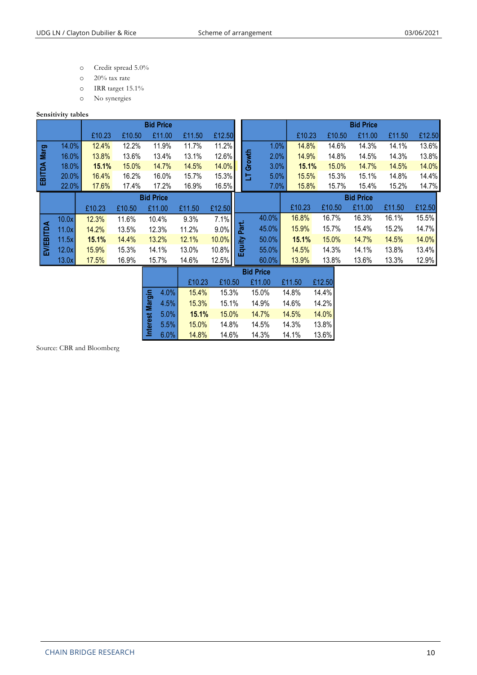- o Credit spread 5.0%
- o 20% tax rate
- o IRR target 15.1%
- o No synergies

#### **Sensitivity tables**

|             |       |        |        | <b>Bid Price</b> |        |        |             |        |       |        |        | <b>Bid Price</b> |        |        |
|-------------|-------|--------|--------|------------------|--------|--------|-------------|--------|-------|--------|--------|------------------|--------|--------|
|             |       | £10.23 | £10.50 | £11.00           | £11.50 | £12.50 |             |        |       | £10.23 | £10.50 | £11.00           | £11.50 | £12.50 |
|             | 14.0% | 12.4%  | 12.2%  | 11.9%            | 11.7%  | 11.2%  |             |        | 1.0%  | 14.8%  | 14.6%  | 14.3%            | 14.1%  | 13.6%  |
| <b>Marg</b> | 16.0% | 13.8%  | 13.6%  | 13.4%            | 13.1%  | 12.6%  |             |        | 2.0%  | 14.9%  | 14.8%  | 14.5%            | 14.3%  | 13.8%  |
| EBITDA I    | 18.0% | 15.1%  | 15.0%  | 14.7%            | 14.5%  | 14.0%  |             | Growth | 3.0%  | 15.1%  | 15.0%  | 14.7%            | 14.5%  | 14.0%  |
|             | 20.0% | 16.4%  | 16.2%  | 16.0%            | 15.7%  | 15.3%  |             | s      | 5.0%  | 15.5%  | 15.3%  | 15.1%            | 14.8%  | 14.4%  |
|             | 22.0% | 17.6%  | 17.4%  | 17.2%            | 16.9%  | 16.5%  |             |        | 7.0%  | 15.8%  | 15.7%  | 15.4%            | 15.2%  | 14.7%  |
|             |       |        |        | <b>Bid Price</b> |        |        |             |        |       |        |        | <b>Bid Price</b> |        |        |
|             |       | £10.23 | £10.50 | £11.00           | £11.50 | £12.50 |             |        |       | £10.23 | £10.50 | £11.00           | £11.50 | £12.50 |
|             | 10.0x | 12.3%  | 11.6%  | 10.4%            | 9.3%   | 7.1%   |             |        | 40.0% | 16.8%  | 16.7%  | 16.3%            | 16.1%  | 15.5%  |
|             | 11.0x | 14.2%  | 13.5%  | 12.3%            | 11.2%  | 9.0%   | <b>Part</b> |        | 45.0% | 15.9%  | 15.7%  | 15.4%            | 15.2%  | 14.7%  |
|             | 11.5x | 15.1%  | 14.4%  | 13.2%            | 12.1%  | 10.0%  | 宮           |        | 50.0% | 15.1%  | 15.0%  | 14.7%            | 14.5%  | 14.0%  |
| EV/EBITDA   | 12.0x | 15.9%  | 15.3%  | 14.1%            | 13.0%  | 10.8%  | 룹           |        | 55.0% | 14.5%  | 14.3%  | 14.1%            | 13.8%  | 13.4%  |
|             | 13.0x | 17.5%  | 16.9%  | 15.7%            | 14.6%  | 12.5%  |             |        | 60.0% | 13.9%  | 13.8%  | 13.6%            | 13.3%  | 12.9%  |

|                 |      | <b>Bid Price</b> |        |        |        |        |  |  |  |  |
|-----------------|------|------------------|--------|--------|--------|--------|--|--|--|--|
|                 |      | £10.23           | £10.50 | £11.00 | £11.50 | £12.50 |  |  |  |  |
|                 | 4.0% | 15.4%            | 15.3%  | 15.0%  | 14.8%  | 14.4%  |  |  |  |  |
| Interest Margin | 4.5% | 15.3%            | 15.1%  | 14.9%  | 14.6%  | 14.2%  |  |  |  |  |
|                 | 5.0% | 15.1%            | 15.0%  | 14.7%  | 14.5%  | 14.0%  |  |  |  |  |
|                 | 5.5% | 15.0%            | 14.8%  | 14.5%  | 14.3%  | 13.8%  |  |  |  |  |
|                 | 6.0% | 14.8%            | 14.6%  | 14.3%  | 14.1%  | 13.6%  |  |  |  |  |

Source: CBR and Bloomberg